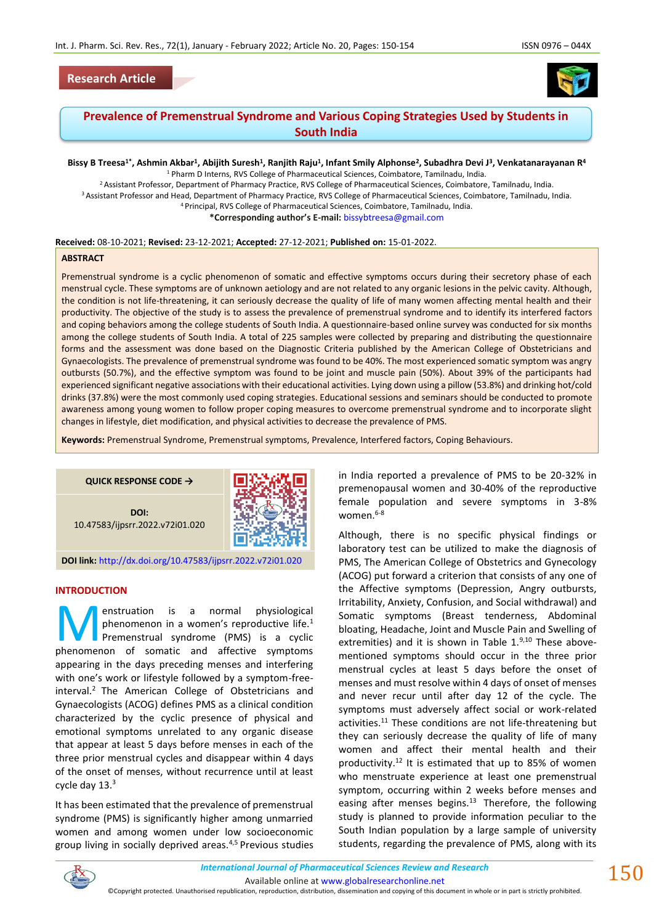# **Research Article**



# **Prevalence of Premenstrual Syndrome and Various Coping Strategies Used by Students in South India**

Bissy B Treesa<sup>1\*</sup>, Ashmin Akbar<sup>1</sup>, Abijith Suresh<sup>1</sup>, Ranjith Raju<sup>1</sup>, Infant Smily Alphonse<sup>2</sup>, Subadhra Devi J<sup>3</sup>, Venkatanarayanan R<sup>4</sup> <sup>1</sup> Pharm D Interns, RVS College of Pharmaceutical Sciences, Coimbatore, Tamilnadu, India.

<sup>2</sup> Assistant Professor, Department of Pharmacy Practice, RVS College of Pharmaceutical Sciences, Coimbatore, Tamilnadu, India. <sup>3</sup> Assistant Professor and Head, Department of Pharmacy Practice, RVS College of Pharmaceutical Sciences, Coimbatore, Tamilnadu, India. <sup>4</sup>Principal, RVS College of Pharmaceutical Sciences, Coimbatore, Tamilnadu, India.

**\*Corresponding author's E-mail:** [bissybtreesa@gmail.com](mailto:bissybtreesa@gmail.com)

**Received:** 08-10-2021; **Revised:** 23-12-2021; **Accepted:** 27-12-2021; **Published on:** 15-01-2022.

#### **ABSTRACT**

Premenstrual syndrome is a cyclic phenomenon of somatic and effective symptoms occurs during their secretory phase of each menstrual cycle. These symptoms are of unknown aetiology and are not related to any organic lesions in the pelvic cavity. Although, the condition is not life-threatening, it can seriously decrease the quality of life of many women affecting mental health and their productivity. The objective of the study is to assess the prevalence of premenstrual syndrome and to identify its interfered factors and coping behaviors among the college students of South India. A questionnaire-based online survey was conducted for six months among the college students of South India. A total of 225 samples were collected by preparing and distributing the questionnaire forms and the assessment was done based on the Diagnostic Criteria published by the American College of Obstetricians and Gynaecologists. The prevalence of premenstrual syndrome was found to be 40%. The most experienced somatic symptom was angry outbursts (50.7%), and the effective symptom was found to be joint and muscle pain (50%). About 39% of the participants had experienced significant negative associations with their educational activities. Lying down using a pillow (53.8%) and drinking hot/cold drinks (37.8%) were the most commonly used coping strategies. Educational sessions and seminars should be conducted to promote awareness among young women to follow proper coping measures to overcome premenstrual syndrome and to incorporate slight changes in lifestyle, diet modification, and physical activities to decrease the prevalence of PMS.

**Keywords:** Premenstrual Syndrome, Premenstrual symptoms, Prevalence, Interfered factors, Coping Behaviours.

**QUICK RESPONSE CODE →**

**DOI:** 10.47583/ijpsrr.2022.v72i01.020



**DOI link:** <http://dx.doi.org/10.47583/ijpsrr.2022.v72i01.020>

#### **INTRODUCTION**

enstruation is a normal physiological phenomenon in a women's reproductive life.<sup>1</sup> Premenstrual syndrome (PMS) is a cyclic **Exercise 1 Startuation is a normal physiological** phenomenon in a women's reproductive life.<sup>1</sup> Premenstrual syndrome (PMS) is a cyclic phenomenon of somatic and affective symptoms appearing in the days preceding menses and interfering with one's work or lifestyle followed by a symptom-freeinterval.<sup>2</sup> The American College of Obstetricians and Gynaecologists (ACOG) defines PMS as a clinical condition characterized by the cyclic presence of physical and emotional symptoms unrelated to any organic disease that appear at least 5 days before menses in each of the three prior menstrual cycles and disappear within 4 days of the onset of menses, without recurrence until at least cycle day 13.<sup>3</sup>

It has been estimated that the prevalence of premenstrual syndrome (PMS) is significantly higher among unmarried women and among women under low socioeconomic group living in socially deprived areas.4,5 Previous studies in India reported a prevalence of PMS to be 20-32% in premenopausal women and 30-40% of the reproductive female population and severe symptoms in 3-8% women. $6-8$ 

Although, there is no specific physical findings or laboratory test can be utilized to make the diagnosis of PMS, The American College of Obstetrics and Gynecology (ACOG) put forward a criterion that consists of any one of the Affective symptoms (Depression, Angry outbursts, Irritability, Anxiety, Confusion, and Social withdrawal) and Somatic symptoms (Breast tenderness, Abdominal bloating, Headache, Joint and Muscle Pain and Swelling of extremities) and it is shown in Table  $1.^{9,10}$  These abovementioned symptoms should occur in the three prior menstrual cycles at least 5 days before the onset of menses and must resolve within 4 days of onset of menses and never recur until after day 12 of the cycle. The symptoms must adversely affect social or work-related activities.<sup>11</sup> These conditions are not life-threatening but they can seriously decrease the quality of life of many women and affect their mental health and their productivity.<sup>12</sup> It is estimated that up to 85% of women who menstruate experience at least one premenstrual symptom, occurring within 2 weeks before menses and easing after menses begins. $13$  Therefore, the following study is planned to provide information peculiar to the South Indian population by a large sample of university students, regarding the prevalence of PMS, along with its



 $150$ 

©Copyright protected. Unauthorised republication, reproduction, distribution, dissemination and copying of this document in whole or in part is strictly prohibited.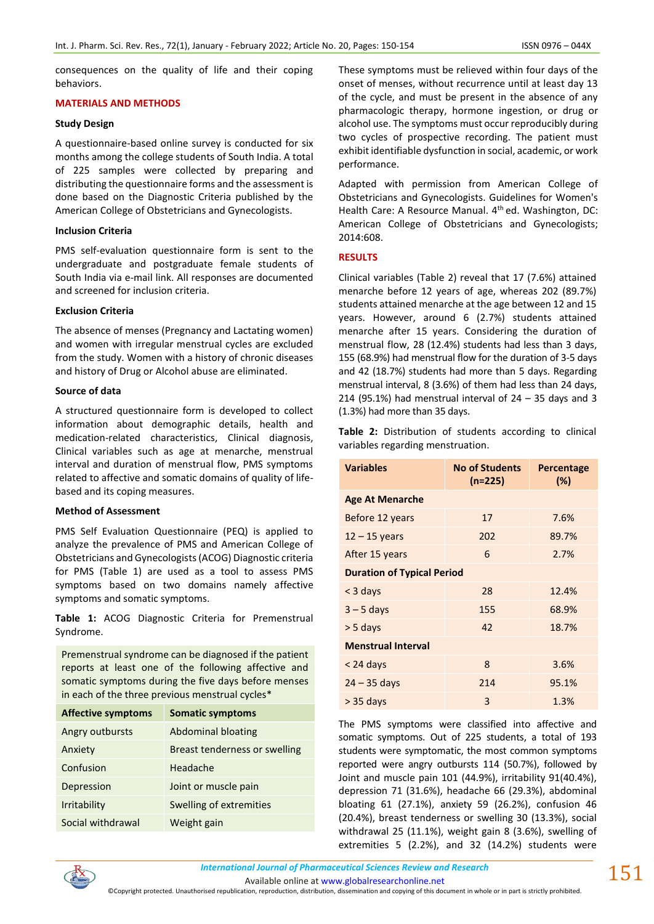consequences on the quality of life and their coping behaviors.

# **MATERIALS AND METHODS**

## **Study Design**

A questionnaire-based online survey is conducted for six months among the college students of South India. A total of 225 samples were collected by preparing and distributing the questionnaire forms and the assessment is done based on the Diagnostic Criteria published by the American College of Obstetricians and Gynecologists.

### **Inclusion Criteria**

PMS self-evaluation questionnaire form is sent to the undergraduate and postgraduate female students of South India via e-mail link. All responses are documented and screened for inclusion criteria.

## **Exclusion Criteria**

The absence of menses (Pregnancy and Lactating women) and women with irregular menstrual cycles are excluded from the study. Women with a history of chronic diseases and history of Drug or Alcohol abuse are eliminated.

## **Source of data**

A structured questionnaire form is developed to collect information about demographic details, health and medication-related characteristics, Clinical diagnosis, Clinical variables such as age at menarche, menstrual interval and duration of menstrual flow, PMS symptoms related to affective and somatic domains of quality of lifebased and its coping measures.

## **Method of Assessment**

PMS Self Evaluation Questionnaire (PEQ) is applied to analyze the prevalence of PMS and American College of Obstetricians and Gynecologists (ACOG) Diagnostic criteria for PMS (Table 1) are used as a tool to assess PMS symptoms based on two domains namely affective symptoms and somatic symptoms.

**Table 1:** ACOG Diagnostic Criteria for Premenstrual Syndrome.

Premenstrual syndrome can be diagnosed if the patient reports at least one of the following affective and somatic symptoms during the five days before menses in each of the three previous menstrual cycles\*

| <b>Affective symptoms</b> | <b>Somatic symptoms</b>       |  |
|---------------------------|-------------------------------|--|
| Angry outbursts           | Abdominal bloating            |  |
| Anxiety                   | Breast tenderness or swelling |  |
| Confusion                 | Headache                      |  |
| Depression                | Joint or muscle pain          |  |
| <b>Irritability</b>       | Swelling of extremities       |  |
| Social withdrawal         | Weight gain                   |  |

These symptoms must be relieved within four days of the onset of menses, without recurrence until at least day 13 of the cycle, and must be present in the absence of any pharmacologic therapy, hormone ingestion, or drug or alcohol use. The symptoms must occur reproducibly during two cycles of prospective recording. The patient must exhibit identifiable dysfunction in social, academic, or work performance.

Adapted with permission from American College of Obstetricians and Gynecologists. Guidelines for Women's Health Care: A Resource Manual. 4<sup>th</sup> ed. Washington, DC: American College of Obstetricians and Gynecologists; 2014:608.

# **RESULTS**

Clinical variables (Table 2) reveal that 17 (7.6%) attained menarche before 12 years of age, whereas 202 (89.7%) students attained menarche at the age between 12 and 15 years. However, around 6 (2.7%) students attained menarche after 15 years. Considering the duration of menstrual flow, 28 (12.4%) students had less than 3 days, 155 (68.9%) had menstrual flow for the duration of 3-5 days and 42 (18.7%) students had more than 5 days. Regarding menstrual interval, 8 (3.6%) of them had less than 24 days, 214 (95.1%) had menstrual interval of  $24 - 35$  days and 3 (1.3%) had more than 35 days.

**Table 2:** Distribution of students according to clinical variables regarding menstruation.

| <b>Variables</b>                  | <b>No of Students</b><br>$(n=225)$ | Percentage<br>(%) |  |
|-----------------------------------|------------------------------------|-------------------|--|
| <b>Age At Menarche</b>            |                                    |                   |  |
| Before 12 years                   | 17                                 | 7.6%              |  |
| $12 - 15$ years                   | 202                                | 89.7%             |  |
| After 15 years                    | 6                                  | 2.7%              |  |
| <b>Duration of Typical Period</b> |                                    |                   |  |
| < 3 days                          | 28                                 | 12.4%             |  |
| $3 - 5$ days                      | 155                                | 68.9%             |  |
| $> 5$ days                        | 42                                 | 18.7%             |  |
| <b>Menstrual Interval</b>         |                                    |                   |  |
| $<$ 24 days                       | 8                                  | 3.6%              |  |
| $24 - 35$ days                    | 214                                | 95.1%             |  |
| > 35 days                         | 3                                  | 1.3%              |  |

The PMS symptoms were classified into affective and somatic symptoms. Out of 225 students, a total of 193 students were symptomatic, the most common symptoms reported were angry outbursts 114 (50.7%), followed by Joint and muscle pain 101 (44.9%), irritability 91(40.4%), depression 71 (31.6%), headache 66 (29.3%), abdominal bloating 61 (27.1%), anxiety 59 (26.2%), confusion 46 (20.4%), breast tenderness or swelling 30 (13.3%), social withdrawal 25 (11.1%), weight gain 8 (3.6%), swelling of extremities 5 (2.2%), and 32 (14.2%) students were



Available online a[t www.globalresearchonline.net](http://www.globalresearchonline.net/)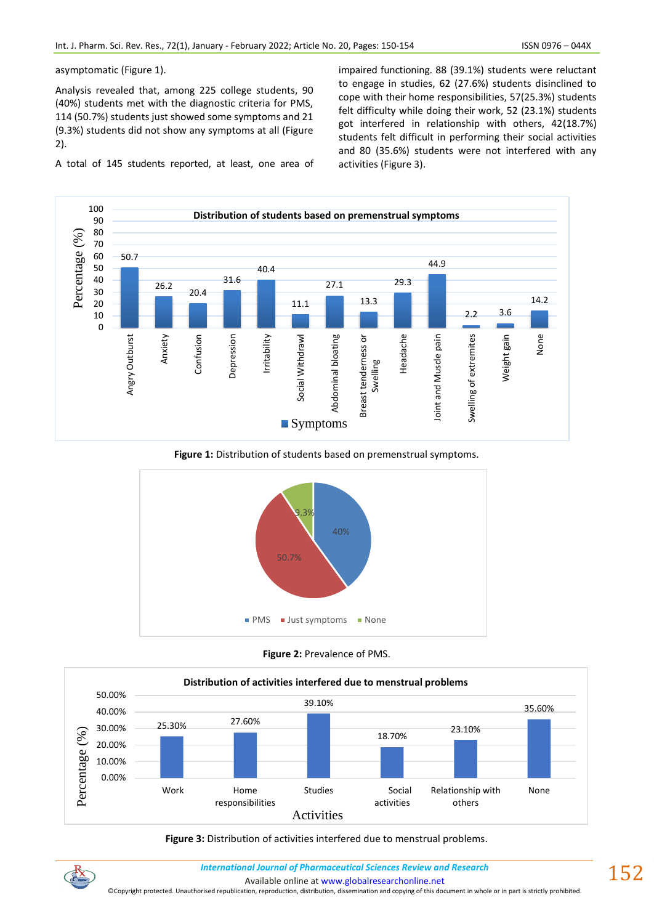asymptomatic (Figure 1).

Analysis revealed that, among 225 college students, 90 (40%) students met with the diagnostic criteria for PMS, 114 (50.7%) students just showed some symptoms and 21 (9.3%) students did not show any symptoms at all (Figure 2).

A total of 145 students reported, at least, one area of

impaired functioning. 88 (39.1%) students were reluctant to engage in studies, 62 (27.6%) students disinclined to cope with their home responsibilities, 57(25.3%) students felt difficulty while doing their work, 52 (23.1%) students got interfered in relationship with others, 42(18.7%) students felt difficult in performing their social activities and 80 (35.6%) students were not interfered with any activities (Figure 3).



**Figure 1:** Distribution of students based on premenstrual symptoms.







**Figure 3:** Distribution of activities interfered due to menstrual problems.

*International Journal of Pharmaceutical Sciences Review and Research International Journal of Pharmaceutical Sciences Review and Research*

Available online a[t www.globalresearchonline.net](http://www.globalresearchonline.net/)

©Copyright protected. Unauthorised republication, reproduction, distribution, dissemination and copying of this document in whole or in part is strictly prohibited.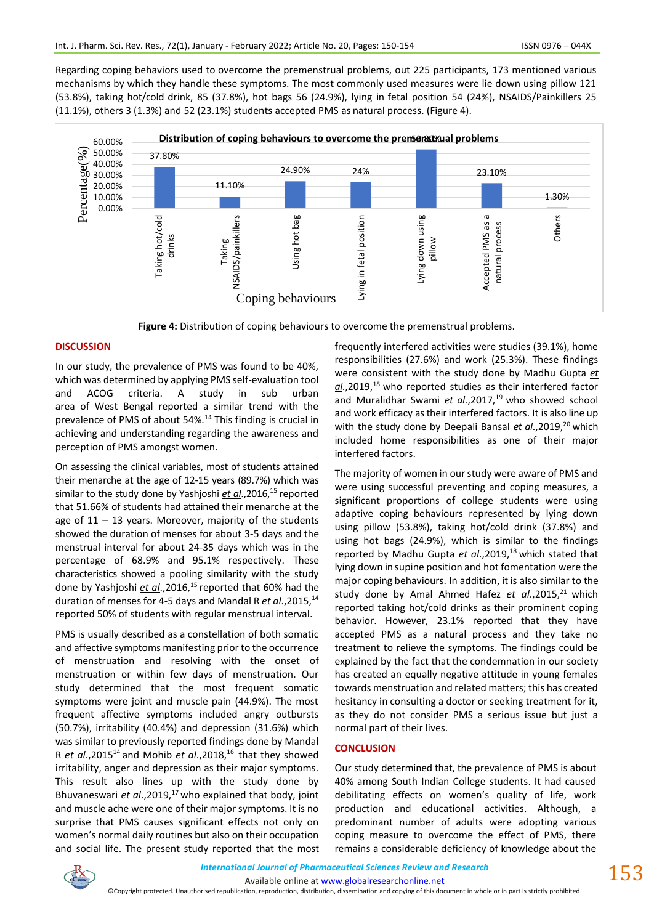Regarding coping behaviors used to overcome the premenstrual problems, out 225 participants, 173 mentioned various mechanisms by which they handle these symptoms. The most commonly used measures were lie down using pillow 121 (53.8%), taking hot/cold drink, 85 (37.8%), hot bags 56 (24.9%), lying in fetal position 54 (24%), NSAIDS/Painkillers 25 (11.1%), others 3 (1.3%) and 52 (23.1%) students accepted PMS as natural process. (Figure 4).



**Figure 4:** Distribution of coping behaviours to overcome the premenstrual problems.

# **DISCUSSION**

In our study, the prevalence of PMS was found to be 40%, which was determined by applying PMS self-evaluation tool and ACOG criteria. A study in sub urban area of West Bengal reported a similar trend with the prevalence of PMS of about 54%.<sup>14</sup> This finding is crucial in achieving and understanding regarding the awareness and perception of PMS amongst women.

On assessing the clinical variables, most of students attained their menarche at the age of 12-15 years (89.7%) which was similar to the study done by Yashjoshi *et al.*,2016,<sup>15</sup> reported that 51.66% of students had attained their menarche at the age of  $11 - 13$  years. Moreover, majority of the students showed the duration of menses for about 3-5 days and the menstrual interval for about 24-35 days which was in the percentage of 68.9% and 95.1% respectively. These characteristics showed a pooling similarity with the study done by Yashjoshi *et al.*,2016,<sup>15</sup> reported that 60% had the duration of menses for 4-5 days and Mandal R *et al*.,2015,<sup>14</sup> reported 50% of students with regular menstrual interval.

PMS is usually described as a constellation of both somatic and affective symptoms manifesting prior to the occurrence of menstruation and resolving with the onset of menstruation or within few days of menstruation. Our study determined that the most frequent somatic symptoms were joint and muscle pain (44.9%). The most frequent affective symptoms included angry outbursts (50.7%), irritability (40.4%) and depression (31.6%) which was similar to previously reported findings done by Mandal R *et al.*,2015<sup>14</sup> and Mohib *et al.*,2018,<sup>16</sup> that they showed irritability, anger and depression as their major symptoms. This result also lines up with the study done by Bhuvaneswari *et al.*,2019,<sup>17</sup> who explained that body, joint and muscle ache were one of their major symptoms. It is no surprise that PMS causes significant effects not only on women's normal daily routines but also on their occupation and social life. The present study reported that the most frequently interfered activities were studies (39.1%), home responsibilities (27.6%) and work (25.3%). These findings were consistent with the study done by Madhu Gupta *et*  al.,2019,<sup>18</sup> who reported studies as their interfered factor and Muralidhar Swami *et al.*, 2017,<sup>19</sup> who showed school and work efficacy as their interfered factors. It is also line up with the study done by Deepali Bansal *et al.*, 2019,<sup>20</sup> which included home responsibilities as one of their major interfered factors.

The majority of women in our study were aware of PMS and were using successful preventing and coping measures, a significant proportions of college students were using adaptive coping behaviours represented by lying down using pillow (53.8%), taking hot/cold drink (37.8%) and using hot bags (24.9%), which is similar to the findings reported by Madhu Gupta *et al.*, 2019,<sup>18</sup> which stated that lying down in supine position and hot fomentation were the major coping behaviours. In addition, it is also similar to the study done by Amal Ahmed Hafez *et al.*,2015,<sup>21</sup> which reported taking hot/cold drinks as their prominent coping behavior. However, 23.1% reported that they have accepted PMS as a natural process and they take no treatment to relieve the symptoms. The findings could be explained by the fact that the condemnation in our society has created an equally negative attitude in young females towards menstruation and related matters; this has created hesitancy in consulting a doctor or seeking treatment for it, as they do not consider PMS a serious issue but just a normal part of their lives.

# **CONCLUSION**

Our study determined that, the prevalence of PMS is about 40% among South Indian College students. It had caused debilitating effects on women's quality of life, work production and educational activities. Although, a predominant number of adults were adopting various coping measure to overcome the effect of PMS, there remains a considerable deficiency of knowledge about the